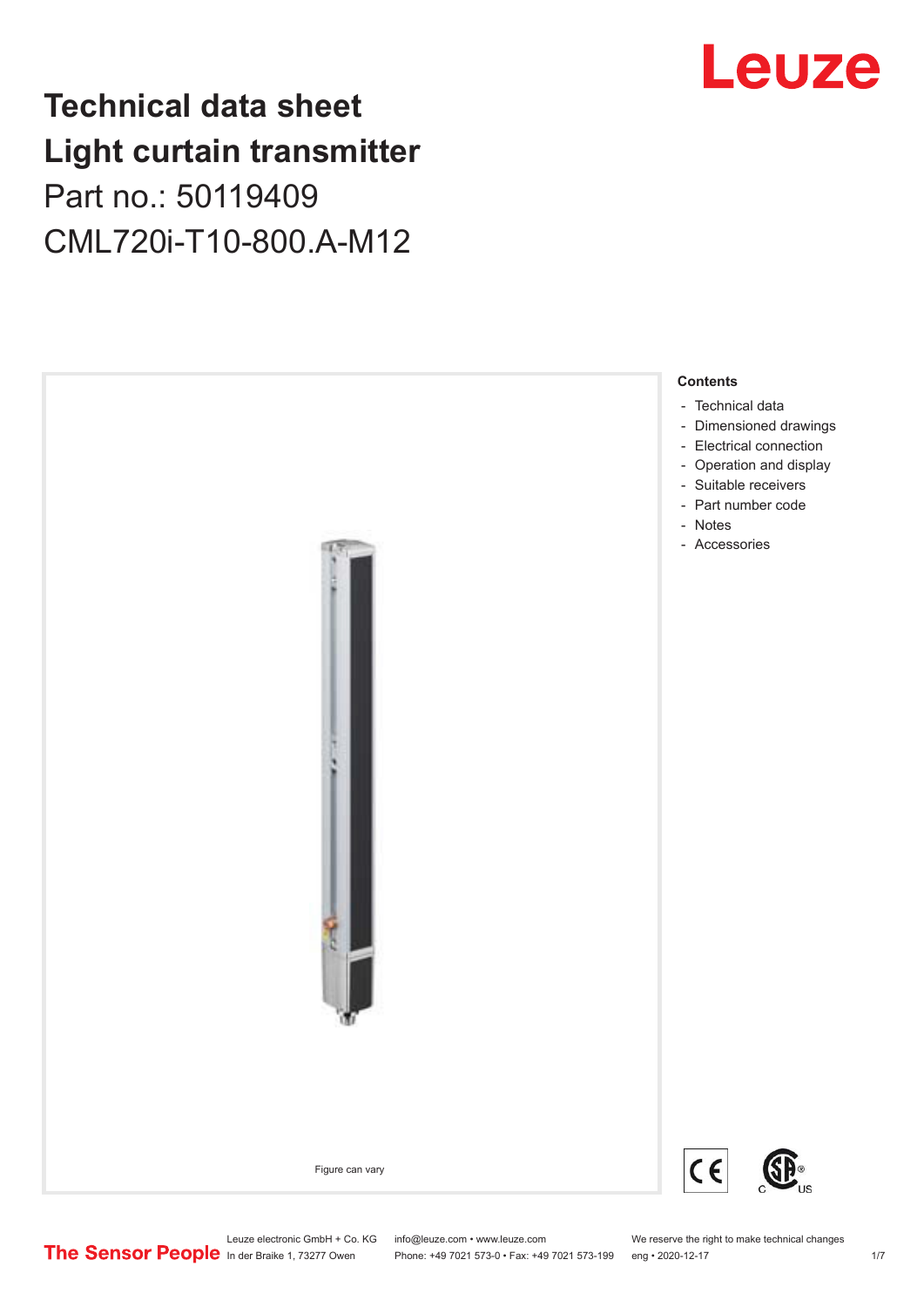# **Technical data sheet Light curtain transmitter** Part no.: 50119409 CML720i-T10-800.A-M12





Leuze electronic GmbH + Co. KG info@leuze.com • www.leuze.com We reserve the right to make technical changes<br>
The Sensor People in der Braike 1, 73277 Owen Phone: +49 7021 573-0 • Fax: +49 7021 573-199 eng • 2020-12-17

Phone: +49 7021 573-0 • Fax: +49 7021 573-199 eng • 2020-12-17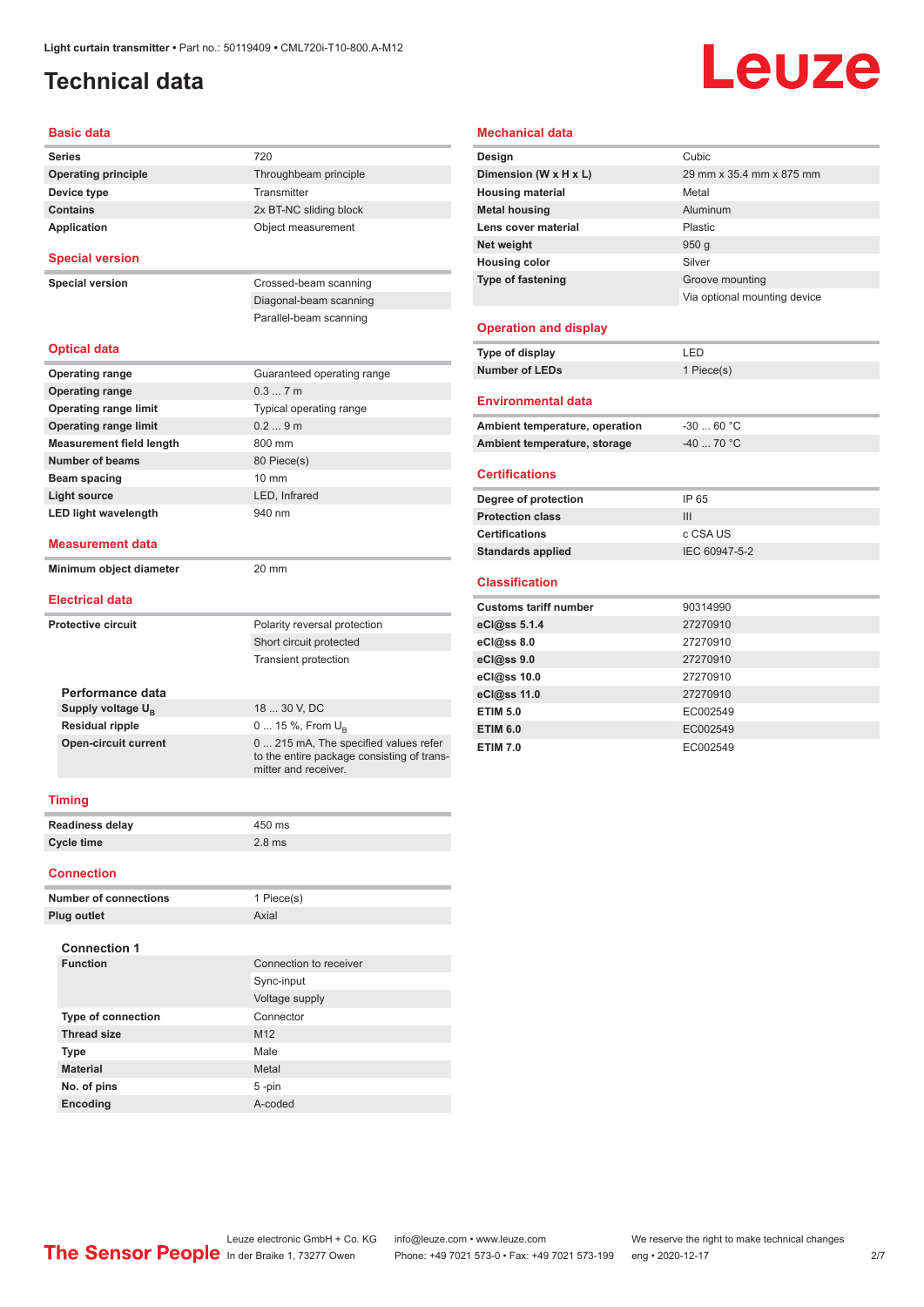# <span id="page-1-0"></span>**Technical data**

# Leuze

#### **Basic data**

| <b>Series</b>                   | 720                                                                                                         |  |  |
|---------------------------------|-------------------------------------------------------------------------------------------------------------|--|--|
| <b>Operating principle</b>      | Throughbeam principle                                                                                       |  |  |
| Device type                     | Transmitter                                                                                                 |  |  |
| <b>Contains</b>                 | 2x BT-NC sliding block                                                                                      |  |  |
| <b>Application</b>              | Object measurement                                                                                          |  |  |
| <b>Special version</b>          |                                                                                                             |  |  |
| <b>Special version</b>          | Crossed-beam scanning                                                                                       |  |  |
|                                 | Diagonal-beam scanning                                                                                      |  |  |
|                                 | Parallel-beam scanning                                                                                      |  |  |
| <b>Optical data</b>             |                                                                                                             |  |  |
| <b>Operating range</b>          | Guaranteed operating range                                                                                  |  |  |
| <b>Operating range</b>          | 0.37m                                                                                                       |  |  |
| <b>Operating range limit</b>    | Typical operating range                                                                                     |  |  |
| <b>Operating range limit</b>    | 0.29m                                                                                                       |  |  |
| <b>Measurement field length</b> | 800 mm                                                                                                      |  |  |
| <b>Number of beams</b>          | 80 Piece(s)                                                                                                 |  |  |
| Beam spacing                    | $10 \text{ mm}$                                                                                             |  |  |
| Light source                    | LED. Infrared                                                                                               |  |  |
| <b>LED light wavelength</b>     | 940 nm                                                                                                      |  |  |
| Measurement data                |                                                                                                             |  |  |
| Minimum object diameter         | 20 mm                                                                                                       |  |  |
| <b>Electrical data</b>          |                                                                                                             |  |  |
| <b>Protective circuit</b>       | Polarity reversal protection                                                                                |  |  |
|                                 | Short circuit protected                                                                                     |  |  |
|                                 | <b>Transient protection</b>                                                                                 |  |  |
|                                 |                                                                                                             |  |  |
| Performance data                |                                                                                                             |  |  |
| Supply voltage $U_{B}$          | 18  30 V. DC                                                                                                |  |  |
| <b>Residual ripple</b>          | 0  15 %, From U <sub>p</sub>                                                                                |  |  |
| <b>Open-circuit current</b>     | 0  215 mA, The specified values refer<br>to the entire package consisting of trans-<br>mitter and receiver. |  |  |
|                                 |                                                                                                             |  |  |

#### **Mechanical data**

| Design                       | Cubic                        |
|------------------------------|------------------------------|
| Dimension (W x H x L)        | 29 mm x 35.4 mm x 875 mm     |
| <b>Housing material</b>      | Metal                        |
| <b>Metal housing</b>         | Aluminum                     |
| Lens cover material          | Plastic                      |
| Net weight                   | 950q                         |
| <b>Housing color</b>         | Silver                       |
| <b>Type of fastening</b>     | Groove mounting              |
|                              | Via optional mounting device |
|                              |                              |
| <b>Operation and display</b> |                              |
| Type of display              | LED                          |
| <b>Number of LEDs</b>        | 1 Piece(s)                   |

#### **Environmental data**

| Ambient temperature, operation | -30  60 °C |
|--------------------------------|------------|
| Ambient temperature, storage   | -40  70 °C |

#### **Certifications**

| Degree of protection     | IP 65         |
|--------------------------|---------------|
| <b>Protection class</b>  | Ш             |
| <b>Certifications</b>    | c CSA US      |
| <b>Standards applied</b> | IEC 60947-5-2 |

#### **Classification**

| <b>Customs tariff number</b> | 90314990 |
|------------------------------|----------|
| eCl@ss 5.1.4                 | 27270910 |
| eCl@ss 8.0                   | 27270910 |
| eCl@ss 9.0                   | 27270910 |
| eCl@ss 10.0                  | 27270910 |
| eCl@ss 11.0                  | 27270910 |
| <b>ETIM 5.0</b>              | EC002549 |
| <b>ETIM 6.0</b>              | EC002549 |
| <b>ETIM 7.0</b>              | EC002549 |

#### **Timing**

| <b>Readiness delay</b> | 450 ms   |
|------------------------|----------|
| Cycle time             | $2.8$ ms |

#### **Connection**

| <b>Number of connections</b> | 1 Piece(s)             |  |
|------------------------------|------------------------|--|
| <b>Plug outlet</b>           | Axial                  |  |
|                              |                        |  |
| <b>Connection 1</b>          |                        |  |
| <b>Function</b>              | Connection to receiver |  |
|                              | Sync-input             |  |
|                              | Voltage supply         |  |
| <b>Type of connection</b>    | Connector              |  |
| <b>Thread size</b>           | M <sub>12</sub>        |  |
| <b>Type</b>                  | Male                   |  |
| <b>Material</b>              | Metal                  |  |
| No. of pins                  | $5 - pin$              |  |
| Encoding                     | A-coded                |  |
|                              |                        |  |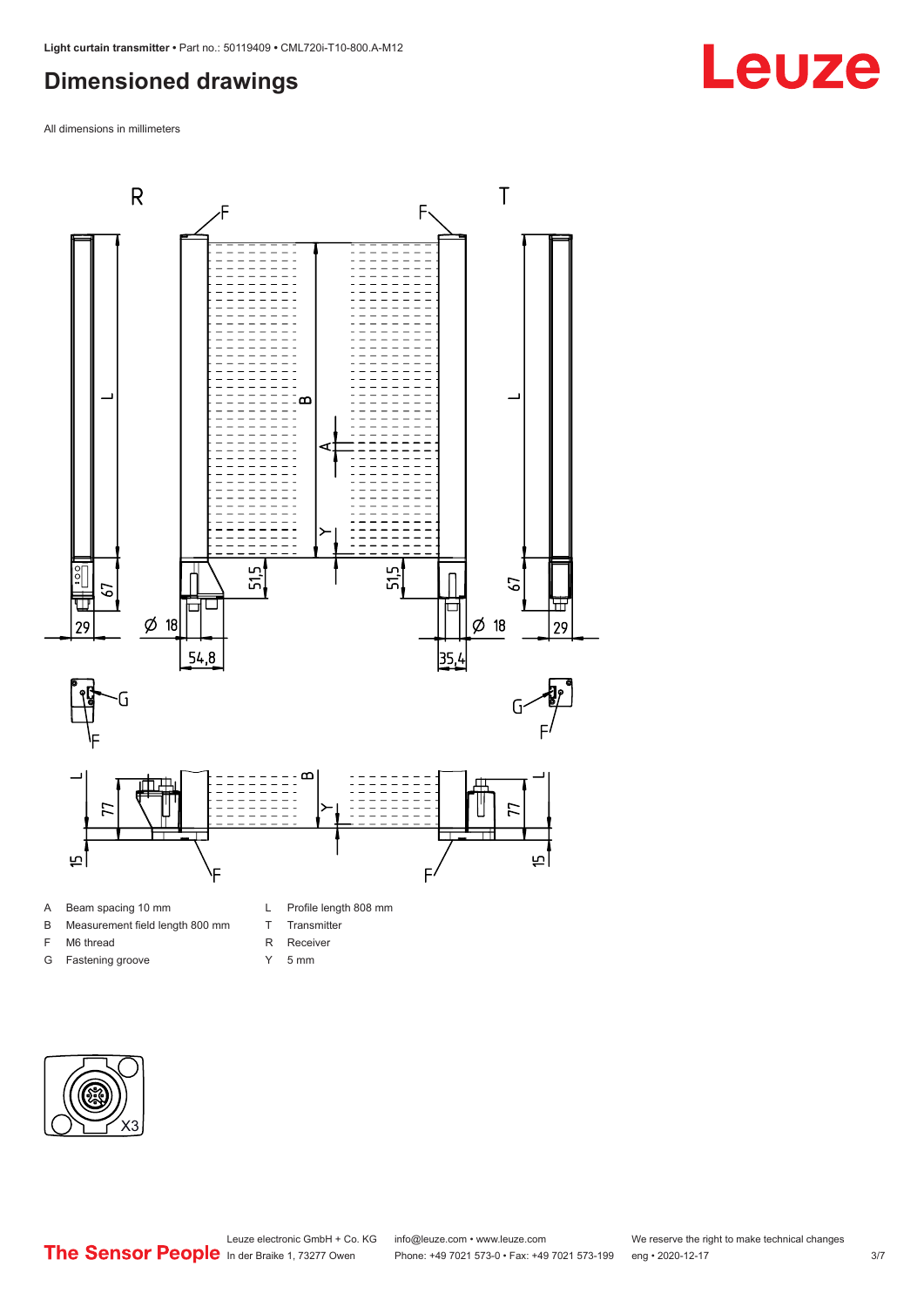### <span id="page-2-0"></span>**Dimensioned drawings**

All dimensions in millimeters



A Beam spacing 10 mm B Measurement field length 800 mm

F M6 thread G Fastening groove

- T Transmitter
- R Receiver
- Y 5 mm



# **Leuze**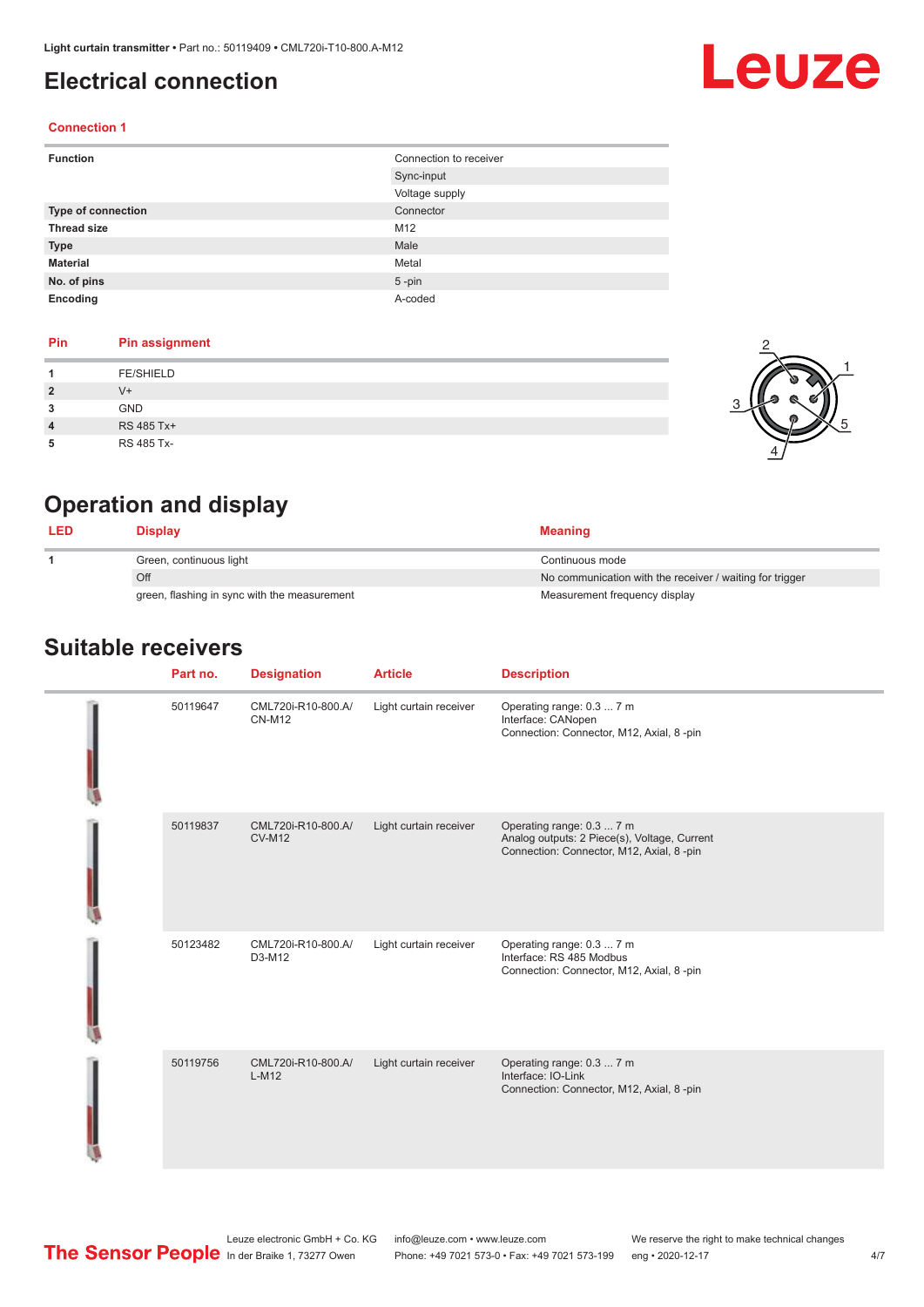### <span id="page-3-0"></span>**Electrical connection**

# Leuze

2

4

1

5

#### **Connection 1**

| <b>Function</b>           | Connection to receiver |
|---------------------------|------------------------|
|                           | Sync-input             |
|                           | Voltage supply         |
| <b>Type of connection</b> | Connector              |
| <b>Thread size</b>        | M12                    |
| <b>Type</b>               | Male                   |
| <b>Material</b>           | Metal                  |
| No. of pins               | $5 - pin$              |
| Encoding                  | A-coded                |

#### **Pin Pin assignment**

|                | <b>FE/SHIELD</b> |  |
|----------------|------------------|--|
| $\overline{2}$ | $V +$            |  |
| 3              | <b>GND</b>       |  |
| $\overline{4}$ | RS 485 Tx+       |  |
| 5              | RS 485 Tx-       |  |

## **Operation and display**

| <b>LED</b> | Display                                      | <b>Meaning</b>                                           |
|------------|----------------------------------------------|----------------------------------------------------------|
|            | Green, continuous light                      | Continuous mode                                          |
|            | Off                                          | No communication with the receiver / waiting for trigger |
|            | green, flashing in sync with the measurement | Measurement frequency display                            |

#### **Suitable receivers**

| Part no. | <b>Designation</b>                  | <b>Article</b>         | <b>Description</b>                                                                                                     |
|----------|-------------------------------------|------------------------|------------------------------------------------------------------------------------------------------------------------|
| 50119647 | CML720i-R10-800.A/<br><b>CN-M12</b> | Light curtain receiver | Operating range: 0.3  7 m<br>Interface: CANopen<br>Connection: Connector, M12, Axial, 8 -pin                           |
| 50119837 | CML720i-R10-800.A/<br><b>CV-M12</b> | Light curtain receiver | Operating range: 0.3  7 m<br>Analog outputs: 2 Piece(s), Voltage, Current<br>Connection: Connector, M12, Axial, 8 -pin |
| 50123482 | CML720i-R10-800.A/<br>D3-M12        | Light curtain receiver | Operating range: 0.3  7 m<br>Interface: RS 485 Modbus<br>Connection: Connector, M12, Axial, 8 -pin                     |
| 50119756 | CML720i-R10-800.A/<br>$L-M12$       | Light curtain receiver | Operating range: 0.3  7 m<br>Interface: IO-Link<br>Connection: Connector, M12, Axial, 8 -pin                           |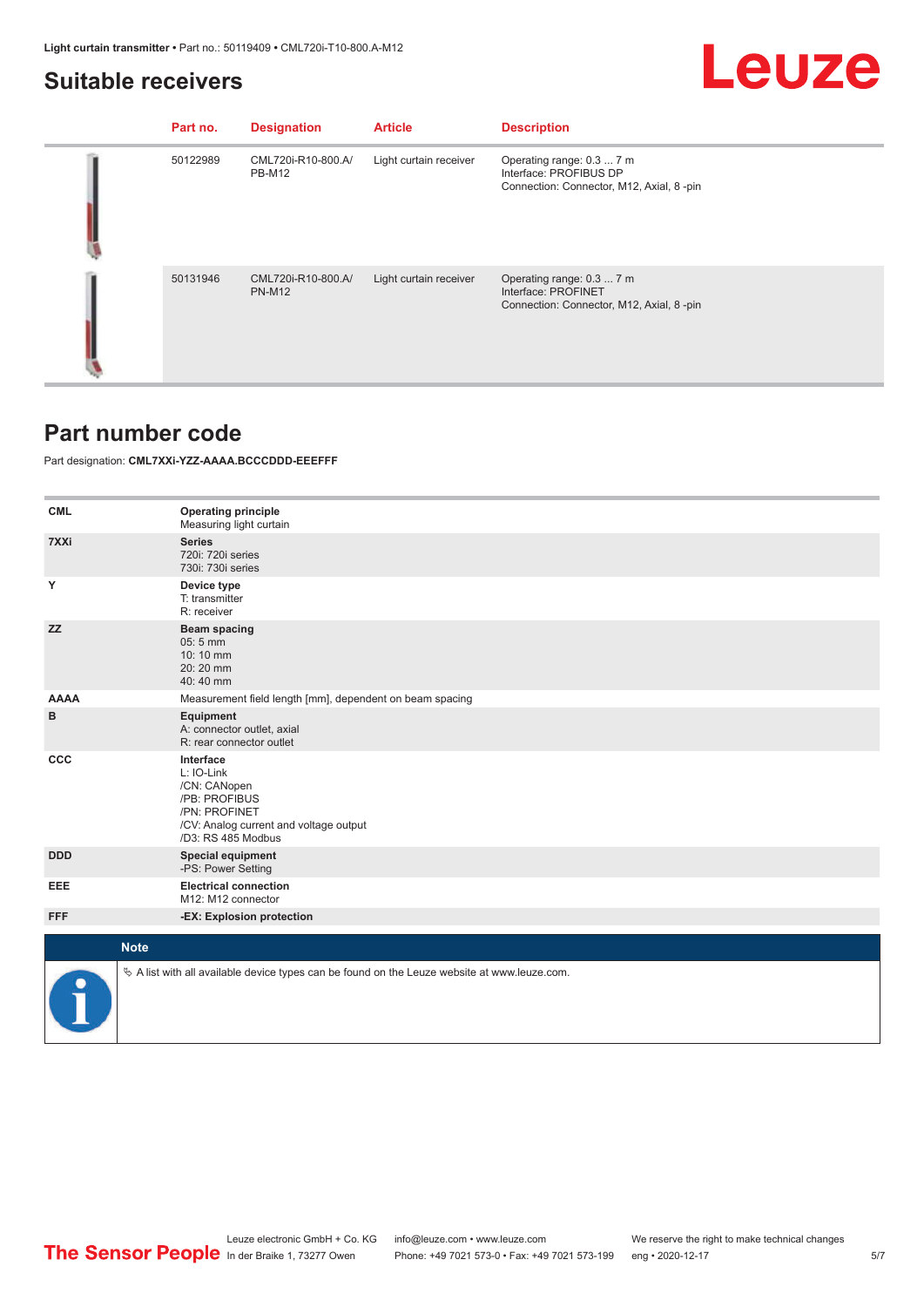# Leuze

### <span id="page-4-0"></span>**Suitable receivers**

| Part no. | <b>Designation</b>                  | <b>Article</b>         | <b>Description</b>                                                                              |
|----------|-------------------------------------|------------------------|-------------------------------------------------------------------------------------------------|
| 50122989 | CML720i-R10-800.A/<br><b>PB-M12</b> | Light curtain receiver | Operating range: 0.3  7 m<br>Interface: PROFIBUS DP<br>Connection: Connector, M12, Axial, 8-pin |
| 50131946 | CML720i-R10-800.A/<br><b>PN-M12</b> | Light curtain receiver | Operating range: 0.3  7 m<br>Interface: PROFINET<br>Connection: Connector, M12, Axial, 8 -pin   |

### **Part number code**

Part designation: **CML7XXi-YZZ-AAAA.BCCCDDD-EEEFFF**

| <b>CML</b>  | <b>Operating principle</b><br>Measuring light curtain                                                                                     |
|-------------|-------------------------------------------------------------------------------------------------------------------------------------------|
| 7XXi        | <b>Series</b><br>720i: 720i series<br>730i: 730i series                                                                                   |
| Υ           | Device type<br>T: transmitter<br>R: receiver                                                                                              |
| <b>ZZ</b>   | <b>Beam spacing</b><br>$05:5$ mm<br>10:10 mm<br>20:20 mm<br>40:40 mm                                                                      |
| <b>AAAA</b> | Measurement field length [mm], dependent on beam spacing                                                                                  |
| B           | Equipment<br>A: connector outlet, axial<br>R: rear connector outlet                                                                       |
| CCC         | Interface<br>L: IO-Link<br>/CN: CANopen<br>/PB: PROFIBUS<br>/PN: PROFINET<br>/CV: Analog current and voltage output<br>/D3: RS 485 Modbus |
| <b>DDD</b>  | <b>Special equipment</b><br>-PS: Power Setting                                                                                            |
| EEE         | <b>Electrical connection</b><br>M12: M12 connector                                                                                        |
| <b>FFF</b>  | -EX: Explosion protection                                                                                                                 |
| <b>Note</b> |                                                                                                                                           |
|             |                                                                                                                                           |
|             | $\&$ A list with all available device types can be found on the Leuze website at www.leuze.com.                                           |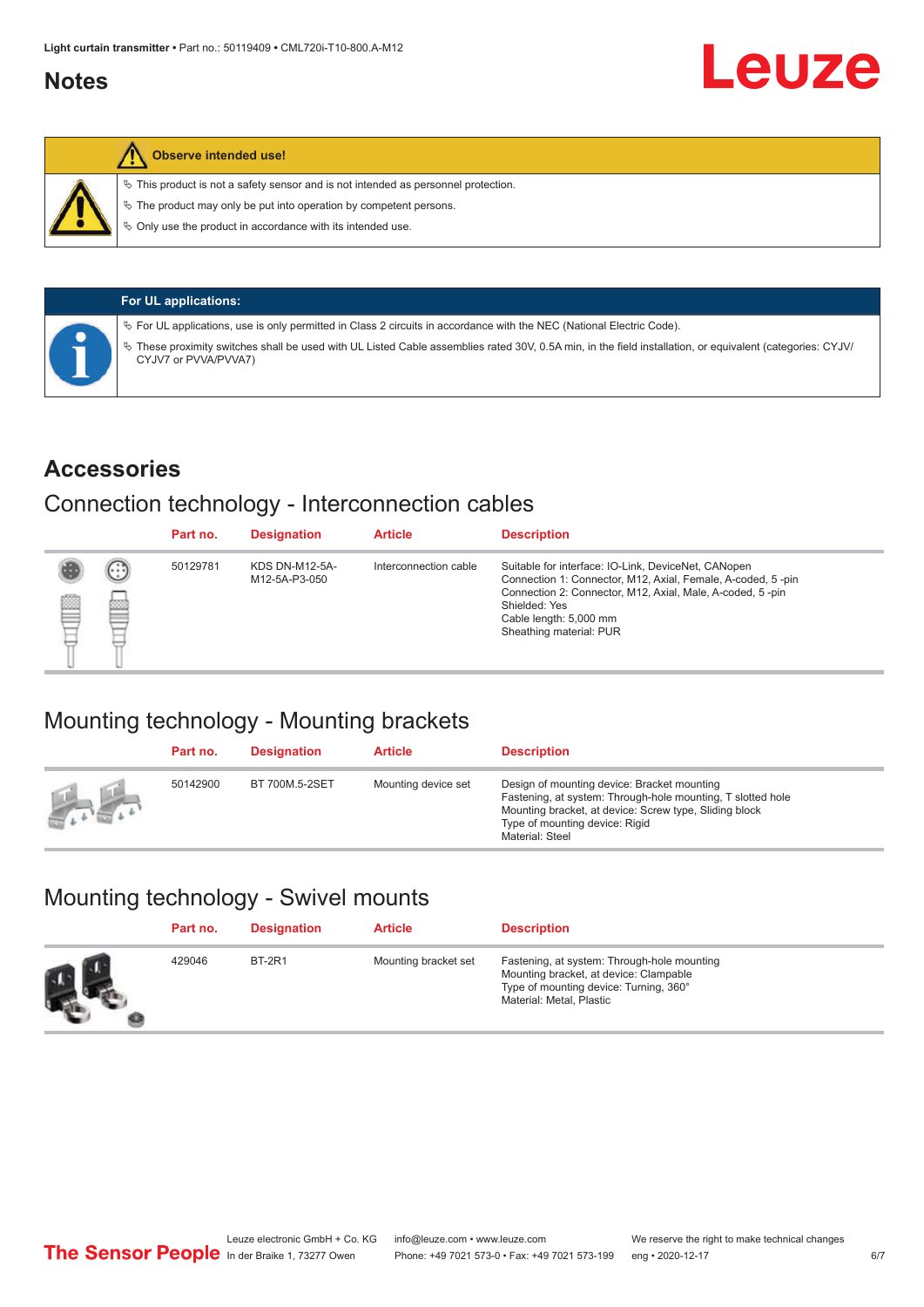### <span id="page-5-0"></span>**Notes**

#### **Observe intended use!**

 $\%$  This product is not a safety sensor and is not intended as personnel protection.

 $\%$  The product may only be put into operation by competent persons.

 $\%$  Only use the product in accordance with its intended use.

|  | <b>For UL applications:</b>                                                                                                                                                       |
|--|-----------------------------------------------------------------------------------------------------------------------------------------------------------------------------------|
|  | Vertical providence is only permitted in Class 2 circuits in accordance with the NEC (National Electric Code).                                                                    |
|  | V These proximity switches shall be used with UL Listed Cable assemblies rated 30V, 0.5A min, in the field installation, or equivalent (categories: CYJV/<br>CYJV7 or PVVA/PVVA7) |

#### **Accessories**

### Connection technology - Interconnection cables

|   |                             | Part no. | <b>Designation</b>                     | <b>Article</b>        | <b>Description</b>                                                                                                                                                                                                                                    |
|---|-----------------------------|----------|----------------------------------------|-----------------------|-------------------------------------------------------------------------------------------------------------------------------------------------------------------------------------------------------------------------------------------------------|
| ▩ | $\left( \cdot \right)$<br>œ | 50129781 | <b>KDS DN-M12-5A-</b><br>M12-5A-P3-050 | Interconnection cable | Suitable for interface: IO-Link, DeviceNet, CANopen<br>Connection 1: Connector, M12, Axial, Female, A-coded, 5-pin<br>Connection 2: Connector, M12, Axial, Male, A-coded, 5-pin<br>Shielded: Yes<br>Cable length: 5,000 mm<br>Sheathing material: PUR |

# Mounting technology - Mounting brackets

|               | Part no. | <b>Designation</b> | <b>Article</b>      | <b>Description</b>                                                                                                                                                                                                        |
|---------------|----------|--------------------|---------------------|---------------------------------------------------------------------------------------------------------------------------------------------------------------------------------------------------------------------------|
| <b>Altres</b> | 50142900 | BT 700M.5-2SET     | Mounting device set | Design of mounting device: Bracket mounting<br>Fastening, at system: Through-hole mounting, T slotted hole<br>Mounting bracket, at device: Screw type, Sliding block<br>Type of mounting device: Rigid<br>Material: Steel |

# Mounting technology - Swivel mounts

| Part no. | <b>Designation</b> | <b>Article</b>       | <b>Description</b>                                                                                                                                          |
|----------|--------------------|----------------------|-------------------------------------------------------------------------------------------------------------------------------------------------------------|
| 429046   | <b>BT-2R1</b>      | Mounting bracket set | Fastening, at system: Through-hole mounting<br>Mounting bracket, at device: Clampable<br>Type of mounting device: Turning, 360°<br>Material: Metal, Plastic |

Leuze